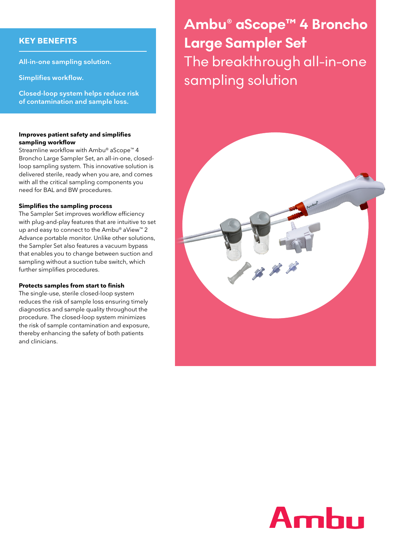### **KEY BENEFITS**

**All-in-one sampling solution.**

**Simplifies workflow.**

**Closed-loop system helps reduce risk of contamination and sample loss.**

#### **Improves patient safety and simplifies sampling workflow**

Streamline workflow with Ambu<sup>®</sup> aScope<sup>™</sup> 4 Broncho Large Sampler Set, an all-in-one, closedloop sampling system. This innovative solution is delivered sterile, ready when you are, and comes with all the critical sampling components you need for BAL and BW procedures.

#### **Simplifies the sampling process**

The Sampler Set improves workflow efficiency with plug-and-play features that are intuitive to set up and easy to connect to the Ambu® aView™ 2 Advance portable monitor. Unlike other solutions, the Sampler Set also features a vacuum bypass that enables you to change between suction and sampling without a suction tube switch, which further simplifies procedures.

#### **Protects samples from start to finish**

The single-use, sterile closed-loop system reduces the risk of sample loss ensuring timely diagnostics and sample quality throughout the procedure. The closed-loop system minimizes the risk of sample contamination and exposure, thereby enhancing the safety of both patients and clinicians.

# **Ambu® aScope™ 4 Broncho Large Sampler Set** The breakthrough all-in-one sampling solution